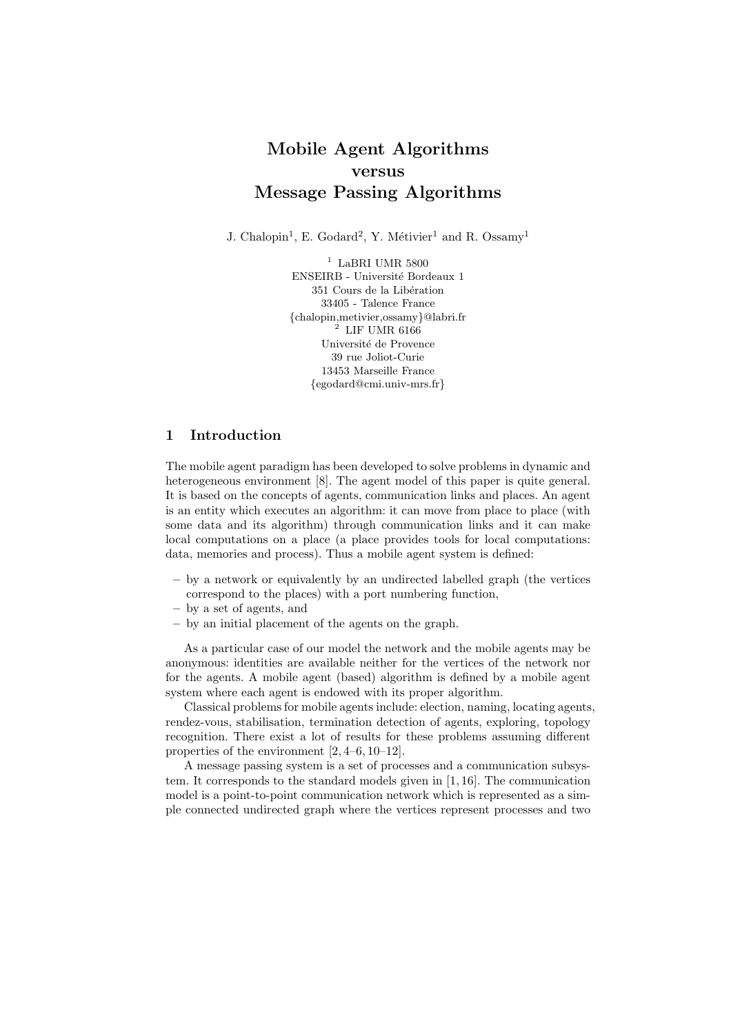# Mobile Agent Algorithms versus Message Passing Algorithms

J. Chalopin<sup>1</sup>, E. Godard<sup>2</sup>, Y. Métivier<sup>1</sup> and R. Ossamy<sup>1</sup>

 $^1$  LaBRI UMR 5800  $\,$ ENSEIRB - Universit´e Bordeaux 1 351 Cours de la Libération 33405 - Talence France {chalopin,metivier,ossamy}@labri.fr  $^{\rm 2}$  LIF UMR 6166 Université de Provence 39 rue Joliot-Curie 13453 Marseille France {egodard@cmi.univ-mrs.fr}

# 1 Introduction

The mobile agent paradigm has been developed to solve problems in dynamic and heterogeneous environment [8]. The agent model of this paper is quite general. It is based on the concepts of agents, communication links and places. An agent is an entity which executes an algorithm: it can move from place to place (with some data and its algorithm) through communication links and it can make local computations on a place (a place provides tools for local computations: data, memories and process). Thus a mobile agent system is defined:

- by a network or equivalently by an undirected labelled graph (the vertices correspond to the places) with a port numbering function,
- by a set of agents, and
- by an initial placement of the agents on the graph.

As a particular case of our model the network and the mobile agents may be anonymous: identities are available neither for the vertices of the network nor for the agents. A mobile agent (based) algorithm is defined by a mobile agent system where each agent is endowed with its proper algorithm.

Classical problems for mobile agents include: election, naming, locating agents, rendez-vous, stabilisation, termination detection of agents, exploring, topology recognition. There exist a lot of results for these problems assuming different properties of the environment [2, 4–6, 10–12].

A message passing system is a set of processes and a communication subsystem. It corresponds to the standard models given in [1, 16]. The communication model is a point-to-point communication network which is represented as a simple connected undirected graph where the vertices represent processes and two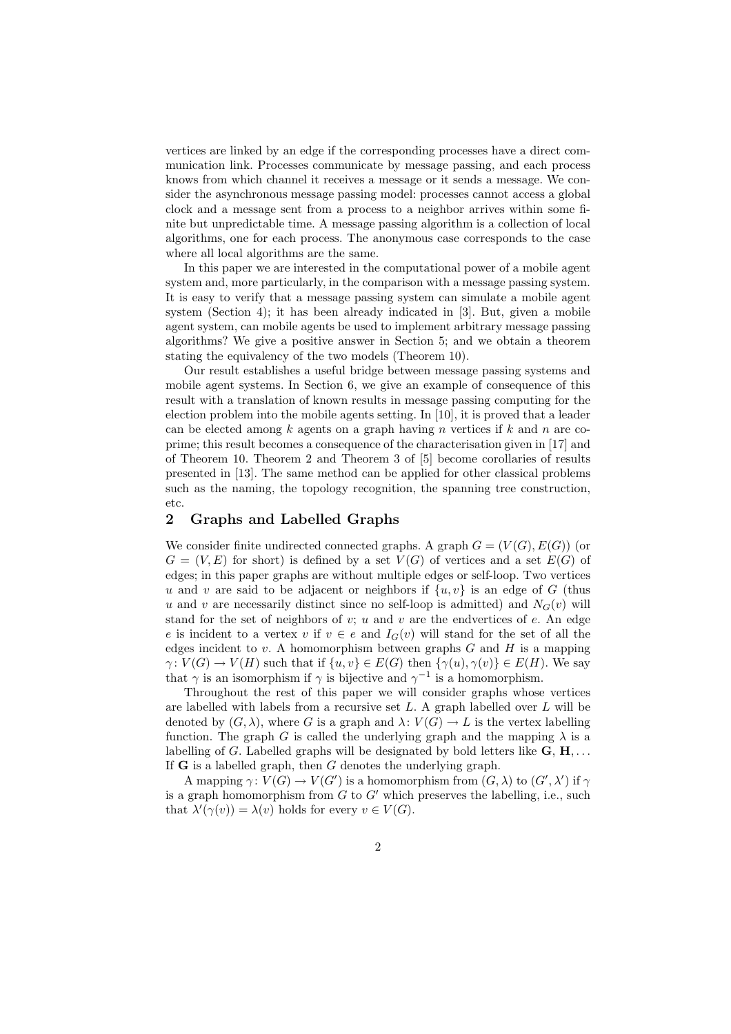vertices are linked by an edge if the corresponding processes have a direct communication link. Processes communicate by message passing, and each process knows from which channel it receives a message or it sends a message. We consider the asynchronous message passing model: processes cannot access a global clock and a message sent from a process to a neighbor arrives within some finite but unpredictable time. A message passing algorithm is a collection of local algorithms, one for each process. The anonymous case corresponds to the case where all local algorithms are the same.

In this paper we are interested in the computational power of a mobile agent system and, more particularly, in the comparison with a message passing system. It is easy to verify that a message passing system can simulate a mobile agent system (Section 4); it has been already indicated in [3]. But, given a mobile agent system, can mobile agents be used to implement arbitrary message passing algorithms? We give a positive answer in Section 5; and we obtain a theorem stating the equivalency of the two models (Theorem 10).

Our result establishes a useful bridge between message passing systems and mobile agent systems. In Section 6, we give an example of consequence of this result with a translation of known results in message passing computing for the election problem into the mobile agents setting. In [10], it is proved that a leader can be elected among k agents on a graph having n vertices if k and n are coprime; this result becomes a consequence of the characterisation given in [17] and of Theorem 10. Theorem 2 and Theorem 3 of [5] become corollaries of results presented in [13]. The same method can be applied for other classical problems such as the naming, the topology recognition, the spanning tree construction, etc.

## 2 Graphs and Labelled Graphs

We consider finite undirected connected graphs. A graph  $G = (V(G), E(G))$  (or  $G = (V, E)$  for short) is defined by a set  $V(G)$  of vertices and a set  $E(G)$  of edges; in this paper graphs are without multiple edges or self-loop. Two vertices u and v are said to be adjacent or neighbors if  $\{u, v\}$  is an edge of G (thus u and v are necessarily distinct since no self-loop is admitted) and  $N_G(v)$  will stand for the set of neighbors of v; u and v are the endvertices of e. An edge e is incident to a vertex v if  $v \in e$  and  $I_G(v)$  will stand for the set of all the edges incident to  $v$ . A homomorphism between graphs  $G$  and  $H$  is a mapping  $\gamma: V(G) \to V(H)$  such that if  $\{u, v\} \in E(G)$  then  $\{\gamma(u), \gamma(v)\} \in E(H)$ . We say that  $\gamma$  is an isomorphism if  $\gamma$  is bijective and  $\gamma^{-1}$  is a homomorphism.

Throughout the rest of this paper we will consider graphs whose vertices are labelled with labels from a recursive set  $L$ . A graph labelled over  $L$  will be denoted by  $(G, \lambda)$ , where G is a graph and  $\lambda: V(G) \to L$  is the vertex labelling function. The graph G is called the underlying graph and the mapping  $\lambda$  is a labelling of G. Labelled graphs will be designated by bold letters like  $G, H, \ldots$ If  $G$  is a labelled graph, then  $G$  denotes the underlying graph.

A mapping  $\gamma: V(G) \to V(G')$  is a homomorphism from  $(G, \lambda)$  to  $(G', \lambda')$  if  $\gamma$ is a graph homomorphism from  $G$  to  $G'$  which preserves the labelling, i.e., such that  $\lambda'(\gamma(v)) = \lambda(v)$  holds for every  $v \in V(G)$ .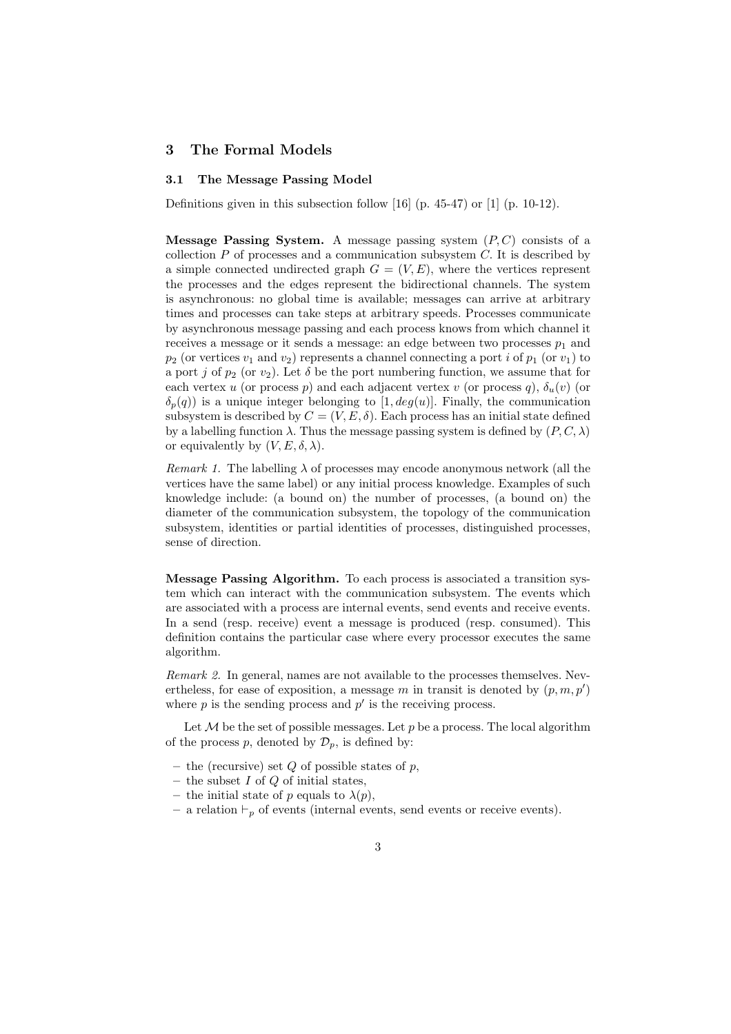## 3 The Formal Models

### 3.1 The Message Passing Model

Definitions given in this subsection follow [16] (p. 45-47) or [1] (p. 10-12).

**Message Passing System.** A message passing system  $(P, C)$  consists of a collection  $P$  of processes and a communication subsystem  $C$ . It is described by a simple connected undirected graph  $G = (V, E)$ , where the vertices represent the processes and the edges represent the bidirectional channels. The system is asynchronous: no global time is available; messages can arrive at arbitrary times and processes can take steps at arbitrary speeds. Processes communicate by asynchronous message passing and each process knows from which channel it receives a message or it sends a message: an edge between two processes  $p_1$  and  $p_2$  (or vertices  $v_1$  and  $v_2$ ) represents a channel connecting a port i of  $p_1$  (or  $v_1$ ) to a port j of  $p_2$  (or  $v_2$ ). Let  $\delta$  be the port numbering function, we assume that for each vertex u (or process p) and each adjacent vertex v (or process q),  $\delta_u(v)$  (or  $\delta_p(q)$  is a unique integer belonging to [1, deg(u)]. Finally, the communication subsystem is described by  $C = (V, E, \delta)$ . Each process has an initial state defined by a labelling function  $\lambda$ . Thus the message passing system is defined by  $(P, C, \lambda)$ or equivalently by  $(V, E, \delta, \lambda)$ .

Remark 1. The labelling  $\lambda$  of processes may encode anonymous network (all the vertices have the same label) or any initial process knowledge. Examples of such knowledge include: (a bound on) the number of processes, (a bound on) the diameter of the communication subsystem, the topology of the communication subsystem, identities or partial identities of processes, distinguished processes, sense of direction.

Message Passing Algorithm. To each process is associated a transition system which can interact with the communication subsystem. The events which are associated with a process are internal events, send events and receive events. In a send (resp. receive) event a message is produced (resp. consumed). This definition contains the particular case where every processor executes the same algorithm.

Remark 2. In general, names are not available to the processes themselves. Nevertheless, for ease of exposition, a message m in transit is denoted by  $(p, m, p')$ where  $p$  is the sending process and  $p'$  is the receiving process.

Let  $M$  be the set of possible messages. Let  $p$  be a process. The local algorithm of the process p, denoted by  $\mathcal{D}_p$ , is defined by:

- the (recursive) set  $Q$  of possible states of  $p$ ,
- the subset  $I$  of  $Q$  of initial states,
- the initial state of p equals to  $\lambda(p)$ ,
- a relation  $\vdash_p$  of events (internal events, send events or receive events).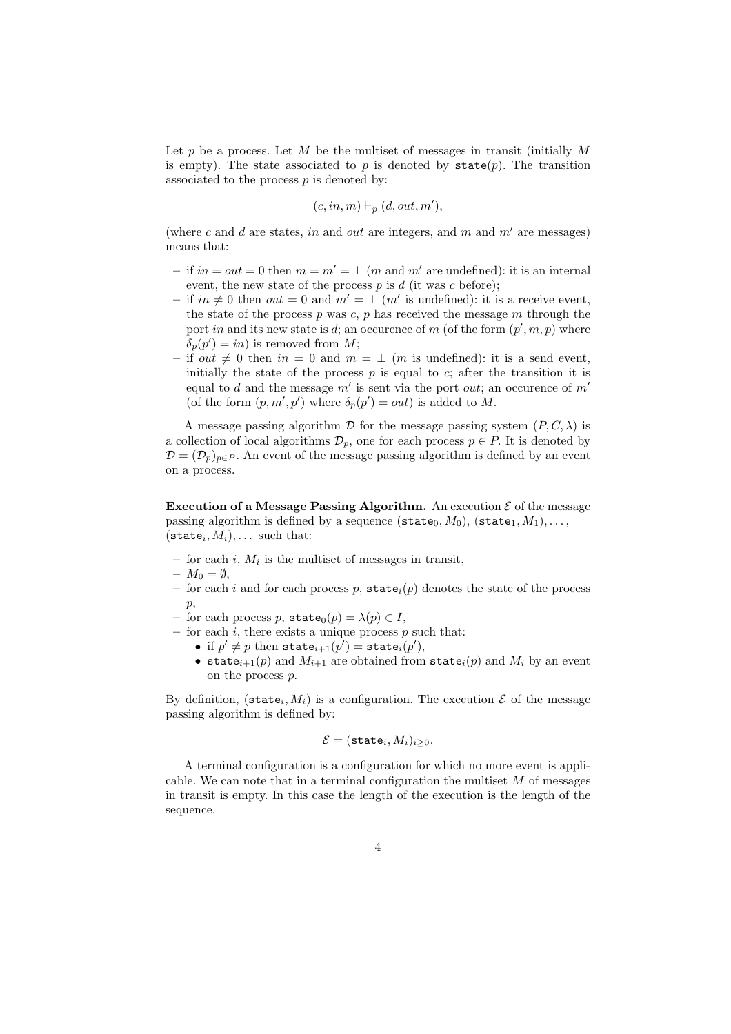Let p be a process. Let M be the multiset of messages in transit (initially  $M$ is empty). The state associated to p is denoted by  $state(p)$ . The transition associated to the process  $p$  is denoted by:

$$
(c, in, m) \vdash_p (d, out, m'),
$$

(where c and d are states, in and out are integers, and m and  $m'$  are messages) means that:

- if  $in = out = 0$  then  $m = m' = \perp (m \text{ and } m' \text{ are undefined})$ : it is an internal event, the new state of the process  $p$  is  $d$  (it was c before);
- if  $in \neq 0$  then  $out = 0$  and  $m' = \perp (m'$  is undefined): it is a receive event, the state of the process  $p$  was  $c, p$  has received the message  $m$  through the port in and its new state is d; an occurence of m (of the form  $(p', m, p)$  where  $\delta_p(p') = in$  is removed from M;
- if *out*  $\neq$  0 then in = 0 and m = ⊥ (m is undefined): it is a send event, initially the state of the process  $p$  is equal to  $c$ ; after the transition it is equal to d and the message  $m'$  is sent via the port *out*; an occurence of  $m'$ (of the form  $(p, m', p')$  where  $\delta_p(p') = out$ ) is added to M.

A message passing algorithm  $\mathcal D$  for the message passing system  $(P, C, \lambda)$  is a collection of local algorithms  $\mathcal{D}_p$ , one for each process  $p \in P$ . It is denoted by  $\mathcal{D} = (\mathcal{D}_p)_{p \in P}$ . An event of the message passing algorithm is defined by an event on a process.

**Execution of a Message Passing Algorithm.** An execution  $\mathcal{E}$  of the message passing algorithm is defined by a sequence ( $\texttt{state}_0, M_0$ ),  $(\texttt{state}_1, M_1), \ldots$ ,  $(\texttt{state}_i, M_i), \dots$  such that:

- $-$  for each *i*,  $M_i$  is the multiset of messages in transit,
- $-M_0 = \emptyset$ ,
- for each i and for each process p,  $state_i(p)$  denotes the state of the process  $\boldsymbol{n}$ .
- for each process p,  $state_0(p) = \lambda(p) \in I$ ,
- for each  $i$ , there exists a unique process  $p$  such that:
	- if  $p' \neq p$  then state $i+1}(p') = \mathtt{state}_i(p'),$
	- state<sub>i+1</sub>(p) and  $M_{i+1}$  are obtained from state<sub>i</sub>(p) and  $M_i$  by an event on the process p.

By definition,  $(\texttt{state}_i, M_i)$  is a configuration. The execution  $\mathcal E$  of the message passing algorithm is defined by:

$$
\mathcal{E} = (\mathtt{state}_i, M_i)_{i \geq 0}.
$$

A terminal configuration is a configuration for which no more event is applicable. We can note that in a terminal configuration the multiset  $M$  of messages in transit is empty. In this case the length of the execution is the length of the sequence.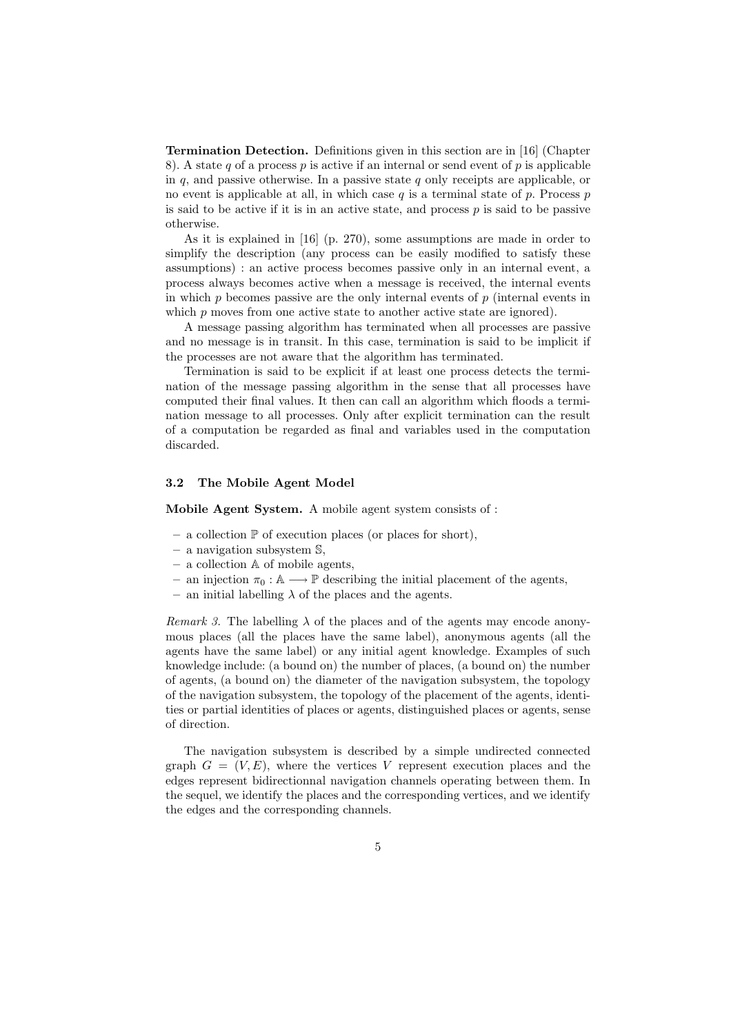Termination Detection. Definitions given in this section are in [16] (Chapter 8). A state q of a process p is active if an internal or send event of p is applicable in  $q$ , and passive otherwise. In a passive state  $q$  only receipts are applicable, or no event is applicable at all, in which case  $q$  is a terminal state of  $p$ . Process  $p$ is said to be active if it is in an active state, and process  $p$  is said to be passive otherwise.

As it is explained in [16] (p. 270), some assumptions are made in order to simplify the description (any process can be easily modified to satisfy these assumptions) : an active process becomes passive only in an internal event, a process always becomes active when a message is received, the internal events in which  $p$  becomes passive are the only internal events of  $p$  (internal events in which p moves from one active state to another active state are ignored).

A message passing algorithm has terminated when all processes are passive and no message is in transit. In this case, termination is said to be implicit if the processes are not aware that the algorithm has terminated.

Termination is said to be explicit if at least one process detects the termination of the message passing algorithm in the sense that all processes have computed their final values. It then can call an algorithm which floods a termination message to all processes. Only after explicit termination can the result of a computation be regarded as final and variables used in the computation discarded.

### 3.2 The Mobile Agent Model

Mobile Agent System. A mobile agent system consists of :

- $-$  a collection  $\mathbb P$  of execution places (or places for short),
- a navigation subsystem S,
- a collection A of mobile agents,
- an injection  $\pi_0 : \mathbb{A} \longrightarrow \mathbb{P}$  describing the initial placement of the agents,
- an initial labelling  $\lambda$  of the places and the agents.

Remark 3. The labelling  $\lambda$  of the places and of the agents may encode anonymous places (all the places have the same label), anonymous agents (all the agents have the same label) or any initial agent knowledge. Examples of such knowledge include: (a bound on) the number of places, (a bound on) the number of agents, (a bound on) the diameter of the navigation subsystem, the topology of the navigation subsystem, the topology of the placement of the agents, identities or partial identities of places or agents, distinguished places or agents, sense of direction.

The navigation subsystem is described by a simple undirected connected graph  $G = (V, E)$ , where the vertices V represent execution places and the edges represent bidirectionnal navigation channels operating between them. In the sequel, we identify the places and the corresponding vertices, and we identify the edges and the corresponding channels.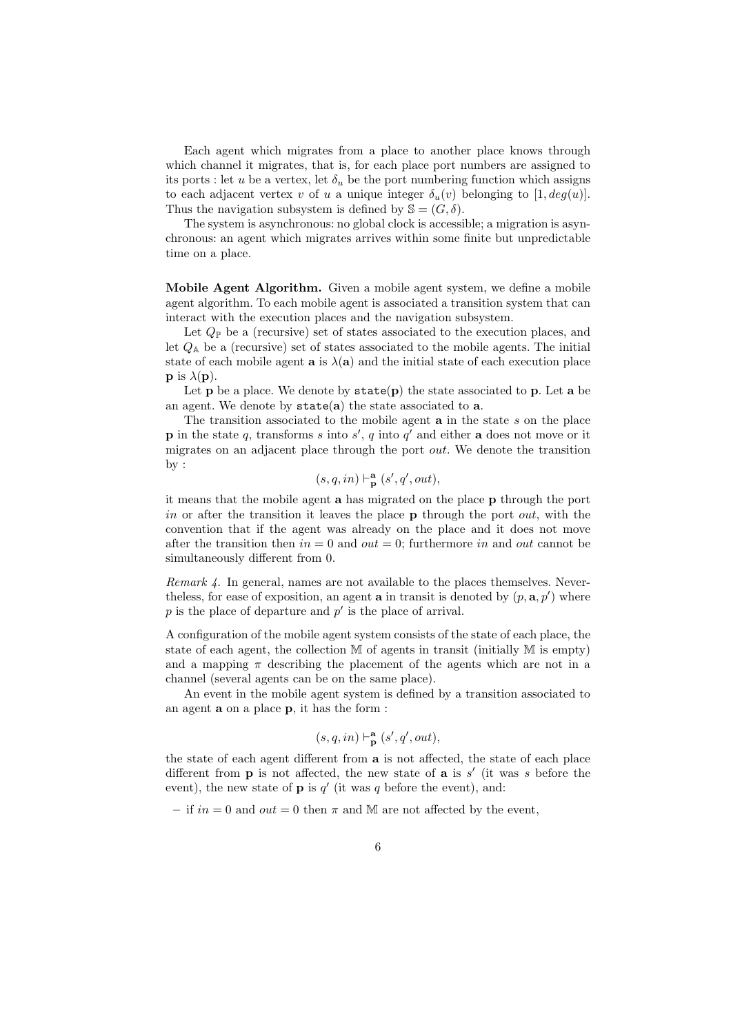Each agent which migrates from a place to another place knows through which channel it migrates, that is, for each place port numbers are assigned to its ports : let u be a vertex, let  $\delta_u$  be the port numbering function which assigns to each adjacent vertex v of u a unique integer  $\delta_u(v)$  belonging to  $[1, deg(u)]$ . Thus the navigation subsystem is defined by  $\mathcal{S} = (G, \delta)$ .

The system is asynchronous: no global clock is accessible; a migration is asynchronous: an agent which migrates arrives within some finite but unpredictable time on a place.

Mobile Agent Algorithm. Given a mobile agent system, we define a mobile agent algorithm. To each mobile agent is associated a transition system that can interact with the execution places and the navigation subsystem.

Let  $Q_{\mathbb{P}}$  be a (recursive) set of states associated to the execution places, and let  $Q_{\mathbb{A}}$  be a (recursive) set of states associated to the mobile agents. The initial state of each mobile agent **a** is  $\lambda$ (**a**) and the initial state of each execution place  $\mathbf{p}$  is  $\lambda(\mathbf{p})$ .

Let  $p$  be a place. We denote by  $state(p)$  the state associated to  $p$ . Let  $a$  be an agent. We denote by  $state(a)$  the state associated to  $a$ .

The transition associated to the mobile agent  $a$  in the state  $s$  on the place **p** in the state q, transforms s into s', q into q' and either **a** does not move or it migrates on an adjacent place through the port out. We denote the transition by :

$$
(s,q,in) \vdash^{\bf a}_{\bf p}(s',q',out),
$$

it means that the mobile agent a has migrated on the place p through the port in or after the transition it leaves the place  $p$  through the port *out*, with the convention that if the agent was already on the place and it does not move after the transition then  $in = 0$  and  $out = 0$ ; furthermore in and out cannot be simultaneously different from 0.

Remark 4. In general, names are not available to the places themselves. Neverthe less, for ease of exposition, an agent  $a$  in transit is denoted by  $(p, a, p')$  where  $p$  is the place of departure and  $p'$  is the place of arrival.

A configuration of the mobile agent system consists of the state of each place, the state of each agent, the collection M of agents in transit (initially M is empty) and a mapping  $\pi$  describing the placement of the agents which are not in a channel (several agents can be on the same place).

An event in the mobile agent system is defined by a transition associated to an agent a on a place p, it has the form :

$$
(s, q, in) \vdash^{\mathbf{a}}_{\mathbf{p}} (s', q', out),
$$

the state of each agent different from a is not affected, the state of each place different from  $\bf{p}$  is not affected, the new state of  $\bf{a}$  is  $s'$  (it was s before the event), the new state of  $\mathbf{p}$  is  $q'$  (it was q before the event), and:

– if  $in = 0$  and  $out = 0$  then  $\pi$  and M are not affected by the event,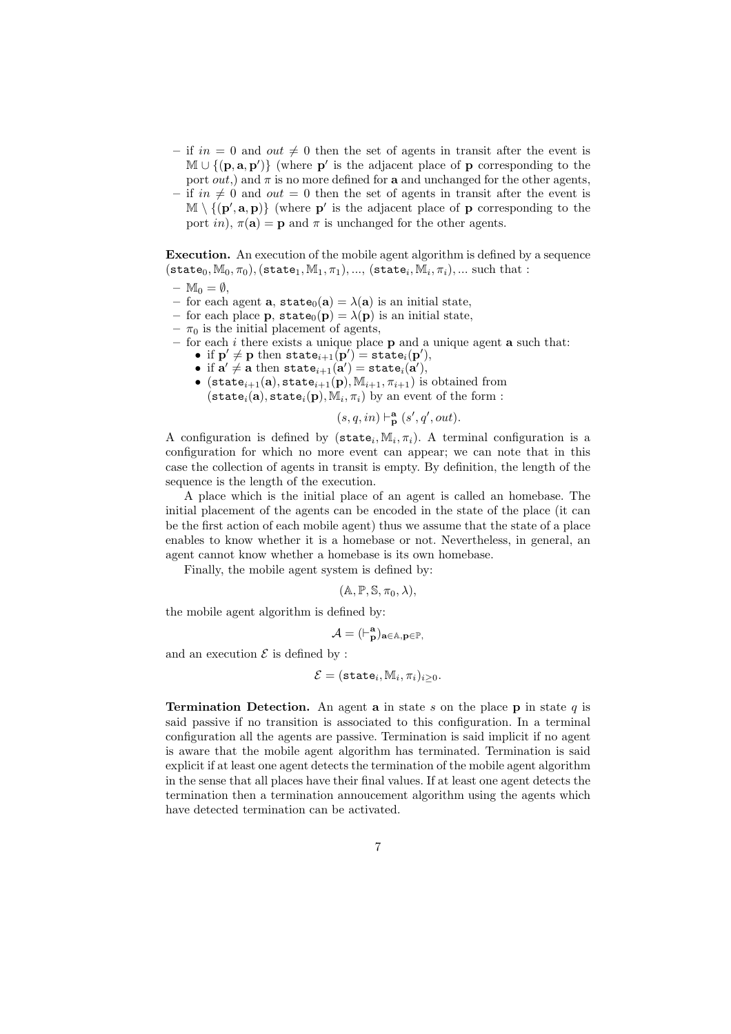- if  $in = 0$  and  $out \neq 0$  then the set of agents in transit after the event is  $\mathbb{M} \cup \{(\mathbf{p}, \mathbf{a}, \mathbf{p}')\}$  (where  $\mathbf{p}'$  is the adjacent place of  $\mathbf{p}$  corresponding to the port *out*,) and  $\pi$  is no more defined for **a** and unchanged for the other agents,
- if in  $\neq 0$  and out = 0 then the set of agents in transit after the event is  $\mathbb{M} \setminus \{(\mathbf{p}',\mathbf{a},\mathbf{p})\}$  (where  $\mathbf{p}'$  is the adjacent place of **p** corresponding to the port in),  $\pi(\mathbf{a}) = \mathbf{p}$  and  $\pi$  is unchanged for the other agents.

Execution. An execution of the mobile agent algorithm is defined by a sequence  $(\texttt{state}_0, \mathbb{M}_0, \pi_0), (\texttt{state}_1, \mathbb{M}_1, \pi_1), ..., (\texttt{state}_i, \mathbb{M}_i, \pi_i), ...$  such that :

$$
- M_0 = \emptyset,
$$

- for each agent **a**,  $state_0(\mathbf{a}) = \lambda(\mathbf{a})$  is an initial state,
- for each place **p**,  $state_0(\mathbf{p}) = \lambda(\mathbf{p})$  is an initial state,
- $\pi_0$  is the initial placement of agents,
- for each  $i$  there exists a unique place  $\bf{p}$  and a unique agent  $\bf{a}$  such that:
	- if  $\mathbf{p}' \neq \mathbf{p}$  then state<sub>i+1</sub>( $\mathbf{p}'$ ) = state<sub>i</sub>( $\mathbf{p}'$ ), • if  $\mathbf{a}' \neq \mathbf{a}$  then state<sub>i</sub> $\mathbf{a}'$  = state<sub>i</sub> $\mathbf{a}'$ ,
	- (state<sub>i+1</sub>(a), state<sub>i+1</sub>(p),  $M_{i+1}, \pi_{i+1}$ ) is obtained from
		- $(\texttt{state}_i(\textbf{a}), \texttt{state}_i(\textbf{p}), \mathbb{M}_i, \pi_i)$  by an event of the form :

$$
(s,q,in) \vdash^{\mathbf{a}}_{\mathbf{p}} (s',q',out).
$$

A configuration is defined by  $(\texttt{state}_i, M_i, \pi_i)$ . A terminal configuration is a configuration for which no more event can appear; we can note that in this case the collection of agents in transit is empty. By definition, the length of the sequence is the length of the execution.

A place which is the initial place of an agent is called an homebase. The initial placement of the agents can be encoded in the state of the place (it can be the first action of each mobile agent) thus we assume that the state of a place enables to know whether it is a homebase or not. Nevertheless, in general, an agent cannot know whether a homebase is its own homebase.

Finally, the mobile agent system is defined by:

$$
(\mathbb{A}, \mathbb{P}, \mathbb{S}, \pi_0, \lambda),
$$

the mobile agent algorithm is defined by:

$$
\mathcal{A} = (\vdash^{\bf a}_{\bf p})_{\bf a \in \mathbb{A}, \bf p \in \mathbb{P},}
$$

and an execution  $\mathcal E$  is defined by :

$$
\mathcal{E} = (\mathtt{state}_i, \mathbb{M}_i, \pi_i)_{i \geq 0}.
$$

**Termination Detection.** An agent **a** in state s on the place **p** in state q is said passive if no transition is associated to this configuration. In a terminal configuration all the agents are passive. Termination is said implicit if no agent is aware that the mobile agent algorithm has terminated. Termination is said explicit if at least one agent detects the termination of the mobile agent algorithm in the sense that all places have their final values. If at least one agent detects the termination then a termination annoucement algorithm using the agents which have detected termination can be activated.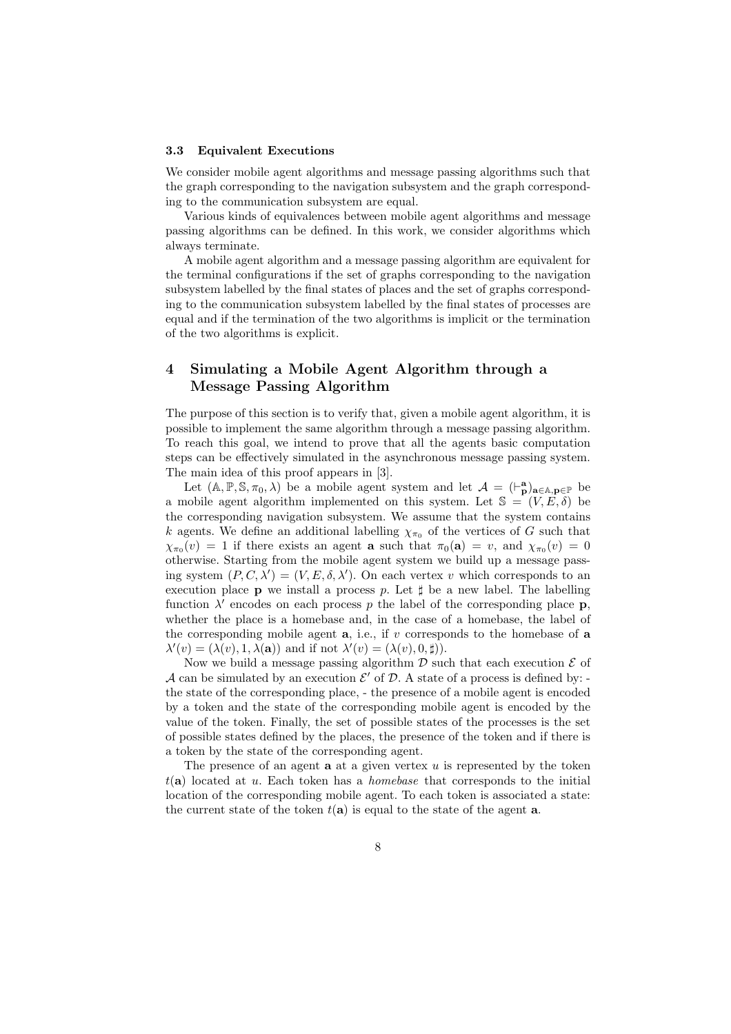#### 3.3 Equivalent Executions

We consider mobile agent algorithms and message passing algorithms such that the graph corresponding to the navigation subsystem and the graph corresponding to the communication subsystem are equal.

Various kinds of equivalences between mobile agent algorithms and message passing algorithms can be defined. In this work, we consider algorithms which always terminate.

A mobile agent algorithm and a message passing algorithm are equivalent for the terminal configurations if the set of graphs corresponding to the navigation subsystem labelled by the final states of places and the set of graphs corresponding to the communication subsystem labelled by the final states of processes are equal and if the termination of the two algorithms is implicit or the termination of the two algorithms is explicit.

# 4 Simulating a Mobile Agent Algorithm through a Message Passing Algorithm

The purpose of this section is to verify that, given a mobile agent algorithm, it is possible to implement the same algorithm through a message passing algorithm. To reach this goal, we intend to prove that all the agents basic computation steps can be effectively simulated in the asynchronous message passing system. The main idea of this proof appears in [3].

Let  $(A, \mathbb{P}, \mathbb{S}, \pi_0, \lambda)$  be a mobile agent system and let  $\mathcal{A} = (\vdash_{\mathbf{p}}^{\mathbf{a}})_{\mathbf{a} \in \mathbb{A}, \mathbf{p} \in \mathbb{P}}$  be a mobile agent algorithm implemented on this system. Let  $\mathbb{S} = (V, E, \delta)$  be the corresponding navigation subsystem. We assume that the system contains k agents. We define an additional labelling  $\chi_{\pi_0}$  of the vertices of G such that  $\chi_{\pi_0}(v) = 1$  if there exists an agent **a** such that  $\pi_0(\mathbf{a}) = v$ , and  $\chi_{\pi_0}(v) = 0$ otherwise. Starting from the mobile agent system we build up a message passing system  $(P, C, \lambda') = (V, E, \delta, \lambda')$ . On each vertex v which corresponds to an execution place **p** we install a process p. Let  $\sharp$  be a new label. The labelling function  $\lambda'$  encodes on each process p the label of the corresponding place p, whether the place is a homebase and, in the case of a homebase, the label of the corresponding mobile agent  $a$ , i.e., if v corresponds to the homebase of  $a$  $\lambda'(v) = (\lambda(v), 1, \lambda(a))$  and if not  $\lambda'(v) = (\lambda(v), 0, \sharp)).$ 

Now we build a message passing algorithm  $\mathcal D$  such that each execution  $\mathcal E$  of A can be simulated by an execution  $\mathcal{E}'$  of  $\mathcal{D}$ . A state of a process is defined by: the state of the corresponding place, - the presence of a mobile agent is encoded by a token and the state of the corresponding mobile agent is encoded by the value of the token. Finally, the set of possible states of the processes is the set of possible states defined by the places, the presence of the token and if there is a token by the state of the corresponding agent.

The presence of an agent  $a$  at a given vertex  $u$  is represented by the token  $t(a)$  located at u. Each token has a *homebase* that corresponds to the initial location of the corresponding mobile agent. To each token is associated a state: the current state of the token  $t(a)$  is equal to the state of the agent **a**.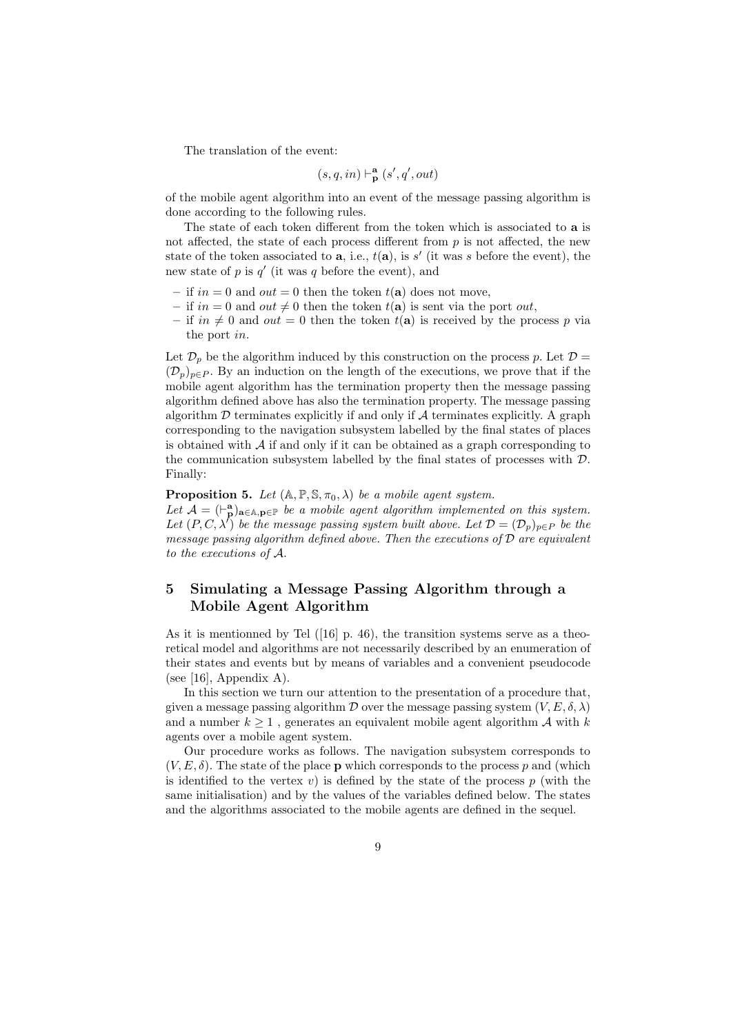The translation of the event:

$$
(s,q,in) \vdash^{\mathbf{a}}_{\mathbf{p}} (s',q',out)
$$

of the mobile agent algorithm into an event of the message passing algorithm is done according to the following rules.

The state of each token different from the token which is associated to a is not affected, the state of each process different from  $p$  is not affected, the new state of the token associated to  $a$ , i.e.,  $t(a)$ , is s' (it was s before the event), the new state of  $p$  is  $q'$  (it was  $q$  before the event), and

- if  $in = 0$  and  $out = 0$  then the token  $t(\mathbf{a})$  does not move,
- if  $in = 0$  and  $out \neq 0$  then the token  $t(a)$  is sent via the port *out*,
- if  $in \neq 0$  and  $out = 0$  then the token  $t(a)$  is received by the process p via the port in.

Let  $\mathcal{D}_p$  be the algorithm induced by this construction on the process p. Let  $\mathcal{D} =$  $(\mathcal{D}_p)_{p\in P}$ . By an induction on the length of the executions, we prove that if the mobile agent algorithm has the termination property then the message passing algorithm defined above has also the termination property. The message passing algorithm  $\mathcal D$  terminates explicitly if and only if  $\mathcal A$  terminates explicitly. A graph corresponding to the navigation subsystem labelled by the final states of places is obtained with  $A$  if and only if it can be obtained as a graph corresponding to the communication subsystem labelled by the final states of processes with D. Finally:

**Proposition 5.** Let  $(A, P, S, \pi_0, \lambda)$  be a mobile agent system.

Let  $\mathcal{A} = (\vdash_{\mathbf{p}}^{\mathbf{a}})_{\mathbf{a} \in \mathbb{A}, \mathbf{p} \in \mathbb{P}}$  be a mobile agent algorithm implemented on this system. Let  $(P, C, \lambda')$  be the message passing system built above. Let  $\mathcal{D} = (\mathcal{D}_p)_{p \in P}$  be the message passing algorithm defined above. Then the executions of  $D$  are equivalent to the executions of A.

# 5 Simulating a Message Passing Algorithm through a Mobile Agent Algorithm

As it is mentionned by Tel ([16] p. 46), the transition systems serve as a theoretical model and algorithms are not necessarily described by an enumeration of their states and events but by means of variables and a convenient pseudocode (see [16], Appendix A).

In this section we turn our attention to the presentation of a procedure that, given a message passing algorithm  $\mathcal D$  over the message passing system  $(V, E, \delta, \lambda)$ and a number  $k\geq 1$  , generates an equivalent mobile agent algorithm  ${\mathcal A}$  with  $k$ agents over a mobile agent system.

Our procedure works as follows. The navigation subsystem corresponds to  $(V, E, \delta)$ . The state of the place **p** which corresponds to the process p and (which is identified to the vertex v) is defined by the state of the process  $p$  (with the same initialisation) and by the values of the variables defined below. The states and the algorithms associated to the mobile agents are defined in the sequel.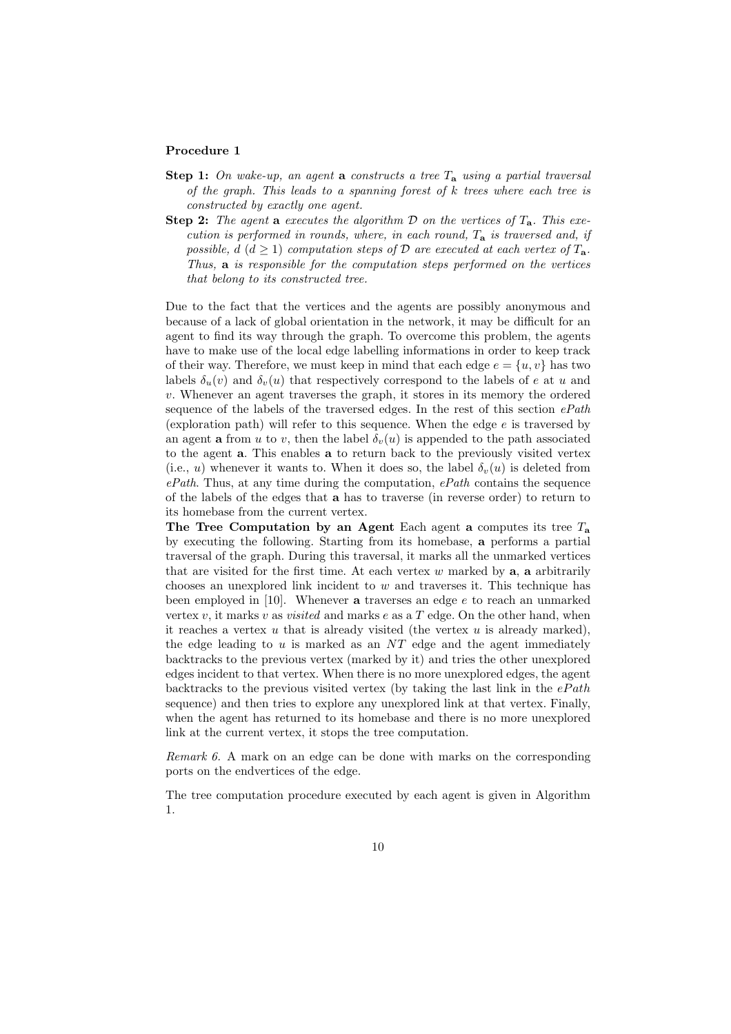#### Procedure 1

- Step 1: On wake-up, an agent a constructs a tree  $T_a$  using a partial traversal of the graph. This leads to a spanning forest of  $k$  trees where each tree is constructed by exactly one agent.
- **Step 2:** The agent a executes the algorithm  $\mathcal D$  on the vertices of  $T_a$ . This execution is performed in rounds, where, in each round,  $T_a$  is traversed and, if possible,  $d(d > 1)$  computation steps of  $D$  are executed at each vertex of  $T_a$ . Thus, a is responsible for the computation steps performed on the vertices that belong to its constructed tree.

Due to the fact that the vertices and the agents are possibly anonymous and because of a lack of global orientation in the network, it may be difficult for an agent to find its way through the graph. To overcome this problem, the agents have to make use of the local edge labelling informations in order to keep track of their way. Therefore, we must keep in mind that each edge  $e = \{u, v\}$  has two labels  $\delta_u(v)$  and  $\delta_v(u)$  that respectively correspond to the labels of e at u and v. Whenever an agent traverses the graph, it stores in its memory the ordered sequence of the labels of the traversed edges. In the rest of this section  $ePath$ (exploration path) will refer to this sequence. When the edge  $e$  is traversed by an agent **a** from u to v, then the label  $\delta_v(u)$  is appended to the path associated to the agent a. This enables a to return back to the previously visited vertex (i.e., u) whenever it wants to. When it does so, the label  $\delta_v(u)$  is deleted from  $ePath$ . Thus, at any time during the computation,  $ePath$  contains the sequence of the labels of the edges that a has to traverse (in reverse order) to return to its homebase from the current vertex.

The Tree Computation by an Agent Each agent a computes its tree  $T_a$ by executing the following. Starting from its homebase, a performs a partial traversal of the graph. During this traversal, it marks all the unmarked vertices that are visited for the first time. At each vertex  $w$  marked by  $a$ ,  $a$  arbitrarily chooses an unexplored link incident to  $w$  and traverses it. This technique has been employed in  $[10]$ . Whenever a traverses an edge  $e$  to reach an unmarked vertex v, it marks v as visited and marks e as a  $T$  edge. On the other hand, when it reaches a vertex  $u$  that is already visited (the vertex  $u$  is already marked), the edge leading to  $u$  is marked as an NT edge and the agent immediately backtracks to the previous vertex (marked by it) and tries the other unexplored edges incident to that vertex. When there is no more unexplored edges, the agent backtracks to the previous visited vertex (by taking the last link in the  $ePath$ sequence) and then tries to explore any unexplored link at that vertex. Finally, when the agent has returned to its homebase and there is no more unexplored link at the current vertex, it stops the tree computation.

Remark 6. A mark on an edge can be done with marks on the corresponding ports on the endvertices of the edge.

The tree computation procedure executed by each agent is given in Algorithm 1.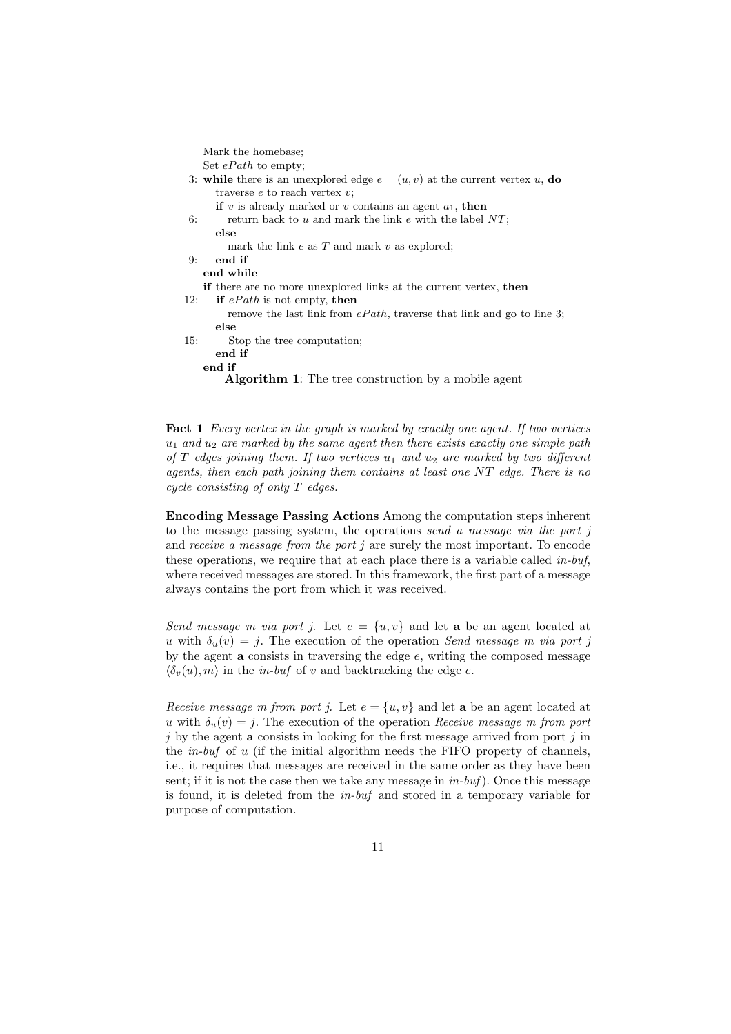Fact 1 Every vertex in the graph is marked by exactly one agent. If two vertices  $u_1$  and  $u_2$  are marked by the same agent then there exists exactly one simple path of T edges joining them. If two vertices  $u_1$  and  $u_2$  are marked by two different agents, then each path joining them contains at least one NT edge. There is no cycle consisting of only T edges.

Encoding Message Passing Actions Among the computation steps inherent to the message passing system, the operations send a message via the port j and receive a message from the port j are surely the most important. To encode these operations, we require that at each place there is a variable called in-buf, where received messages are stored. In this framework, the first part of a message always contains the port from which it was received.

Send message m via port j. Let  $e = \{u, v\}$  and let **a** be an agent located at u with  $\delta_u(v) = j$ . The execution of the operation Send message m via port j by the agent  $a$  consists in traversing the edge  $e$ , writing the composed message  $\langle \delta_v(u), m \rangle$  in the *in-buf* of v and backtracking the edge e.

Receive message m from port j. Let  $e = \{u, v\}$  and let **a** be an agent located at u with  $\delta_u(v) = j$ . The execution of the operation Receive message m from port  $j$  by the agent **a** consists in looking for the first message arrived from port  $j$  in the  $in$ -buf of u (if the initial algorithm needs the FIFO property of channels, i.e., it requires that messages are received in the same order as they have been sent; if it is not the case then we take any message in  $in$ -buf). Once this message is found, it is deleted from the in-buf and stored in a temporary variable for purpose of computation.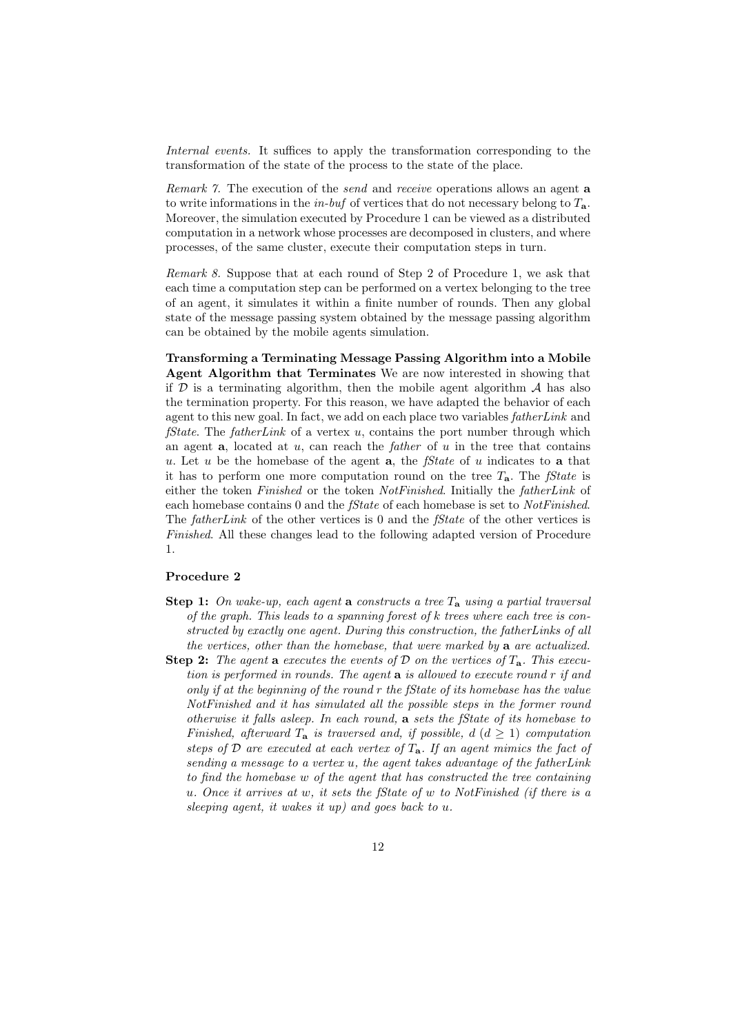Internal events. It suffices to apply the transformation corresponding to the transformation of the state of the process to the state of the place.

Remark 7. The execution of the *send* and *receive* operations allows an agent **a** to write informations in the in-buf of vertices that do not necessary belong to  $T_a$ . Moreover, the simulation executed by Procedure 1 can be viewed as a distributed computation in a network whose processes are decomposed in clusters, and where processes, of the same cluster, execute their computation steps in turn.

Remark 8. Suppose that at each round of Step 2 of Procedure 1, we ask that each time a computation step can be performed on a vertex belonging to the tree of an agent, it simulates it within a finite number of rounds. Then any global state of the message passing system obtained by the message passing algorithm can be obtained by the mobile agents simulation.

Transforming a Terminating Message Passing Algorithm into a Mobile Agent Algorithm that Terminates We are now interested in showing that if  $\mathcal D$  is a terminating algorithm, then the mobile agent algorithm  $\mathcal A$  has also the termination property. For this reason, we have adapted the behavior of each agent to this new goal. In fact, we add on each place two variables fatherLink and  $fState$ . The fatherLink of a vertex u, contains the port number through which an agent **a**, located at  $u$ , can reach the *father* of  $u$  in the tree that contains u. Let u be the homebase of the agent  $a$ , the *fState* of u indicates to a that it has to perform one more computation round on the tree  $T_a$ . The fState is either the token Finished or the token NotFinished. Initially the fatherLink of each homebase contains 0 and the *fState* of each homebase is set to *NotFinished*. The *fatherLink* of the other vertices is 0 and the *fState* of the other vertices is Finished. All these changes lead to the following adapted version of Procedure 1.

#### Procedure 2

- Step 1: On wake-up, each agent a constructs a tree  $T_a$  using a partial traversal of the graph. This leads to a spanning forest of k trees where each tree is constructed by exactly one agent. During this construction, the fatherLinks of all the vertices, other than the homebase, that were marked by a are actualized.
- **Step 2:** The agent a executes the events of  $D$  on the vertices of  $T_a$ . This execution is performed in rounds. The agent  $a$  is allowed to execute round  $r$  if and only if at the beginning of the round  $r$  the fState of its homebase has the value NotFinished and it has simulated all the possible steps in the former round otherwise it falls asleep. In each round, a sets the fState of its homebase to Finished, afterward  $T_a$  is traversed and, if possible, d ( $d \geq 1$ ) computation steps of  $D$  are executed at each vertex of  $T_a$ . If an agent mimics the fact of sending a message to a vertex u, the agent takes advantage of the fatherLink to find the homebase w of the agent that has constructed the tree containing u. Once it arrives at w, it sets the fState of w to NotFinished (if there is a sleeping agent, it wakes it up) and goes back to u.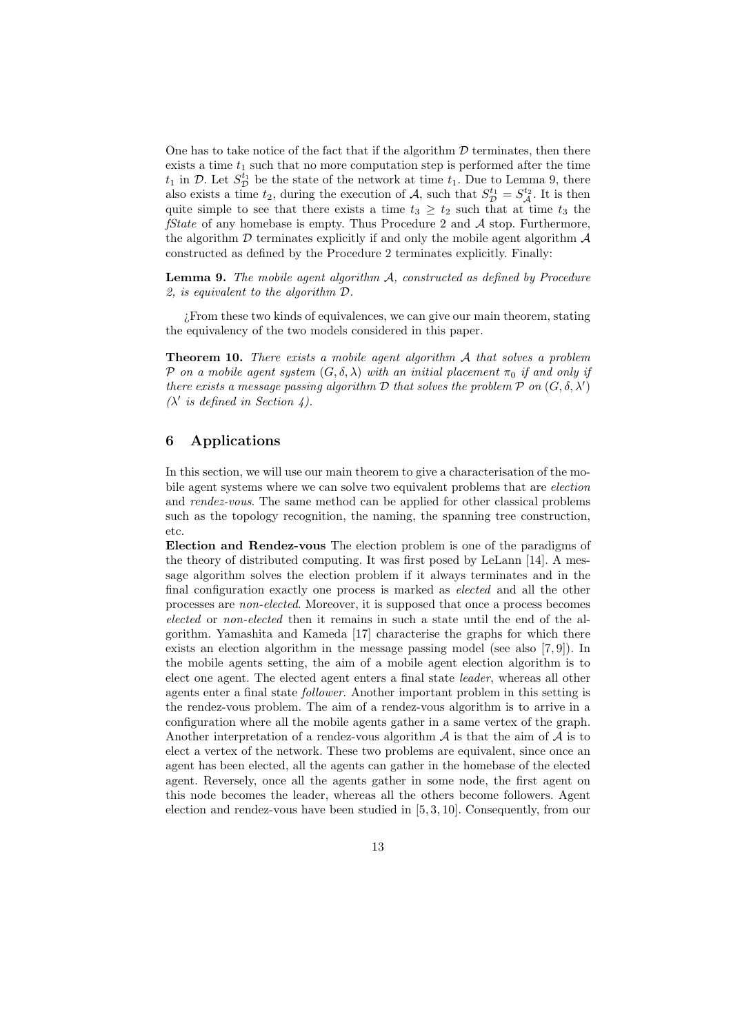One has to take notice of the fact that if the algorithm  $D$  terminates, then there exists a time  $t_1$  such that no more computation step is performed after the time  $t_1$  in D. Let  $S_{\mathcal{D}}^{t_1}$  be the state of the network at time  $t_1$ . Due to Lemma 9, there also exists a time  $t_2$ , during the execution of A, such that  $S_{\mathcal{D}}^{t_1} = S_{\mathcal{A}}^{t_2}$ . It is then quite simple to see that there exists a time  $t_3 \geq t_2$  such that at time  $t_3$  the *fState* of any homebase is empty. Thus Procedure 2 and  $\mathcal A$  stop. Furthermore, the algorithm  $\mathcal D$  terminates explicitly if and only the mobile agent algorithm  $\mathcal A$ constructed as defined by the Procedure 2 terminates explicitly. Finally:

**Lemma 9.** The mobile agent algorithm A, constructed as defined by Procedure 2, is equivalent to the algorithm D.

¿From these two kinds of equivalences, we can give our main theorem, stating the equivalency of the two models considered in this paper.

**Theorem 10.** There exists a mobile agent algorithm  $A$  that solves a problem P on a mobile agent system  $(G, \delta, \lambda)$  with an initial placement  $\pi_0$  if and only if there exists a message passing algorithm  $D$  that solves the problem  $P$  on  $(G, \delta, \lambda')$  $(\lambda'$  is defined in Section 4).

# 6 Applications

In this section, we will use our main theorem to give a characterisation of the mobile agent systems where we can solve two equivalent problems that are election and rendez-vous. The same method can be applied for other classical problems such as the topology recognition, the naming, the spanning tree construction, etc.

Election and Rendez-vous The election problem is one of the paradigms of the theory of distributed computing. It was first posed by LeLann [14]. A message algorithm solves the election problem if it always terminates and in the final configuration exactly one process is marked as elected and all the other processes are non-elected. Moreover, it is supposed that once a process becomes elected or non-elected then it remains in such a state until the end of the algorithm. Yamashita and Kameda [17] characterise the graphs for which there exists an election algorithm in the message passing model (see also [7, 9]). In the mobile agents setting, the aim of a mobile agent election algorithm is to elect one agent. The elected agent enters a final state leader, whereas all other agents enter a final state follower. Another important problem in this setting is the rendez-vous problem. The aim of a rendez-vous algorithm is to arrive in a configuration where all the mobile agents gather in a same vertex of the graph. Another interpretation of a rendez-vous algorithm  $A$  is that the aim of  $A$  is to elect a vertex of the network. These two problems are equivalent, since once an agent has been elected, all the agents can gather in the homebase of the elected agent. Reversely, once all the agents gather in some node, the first agent on this node becomes the leader, whereas all the others become followers. Agent election and rendez-vous have been studied in [5, 3, 10]. Consequently, from our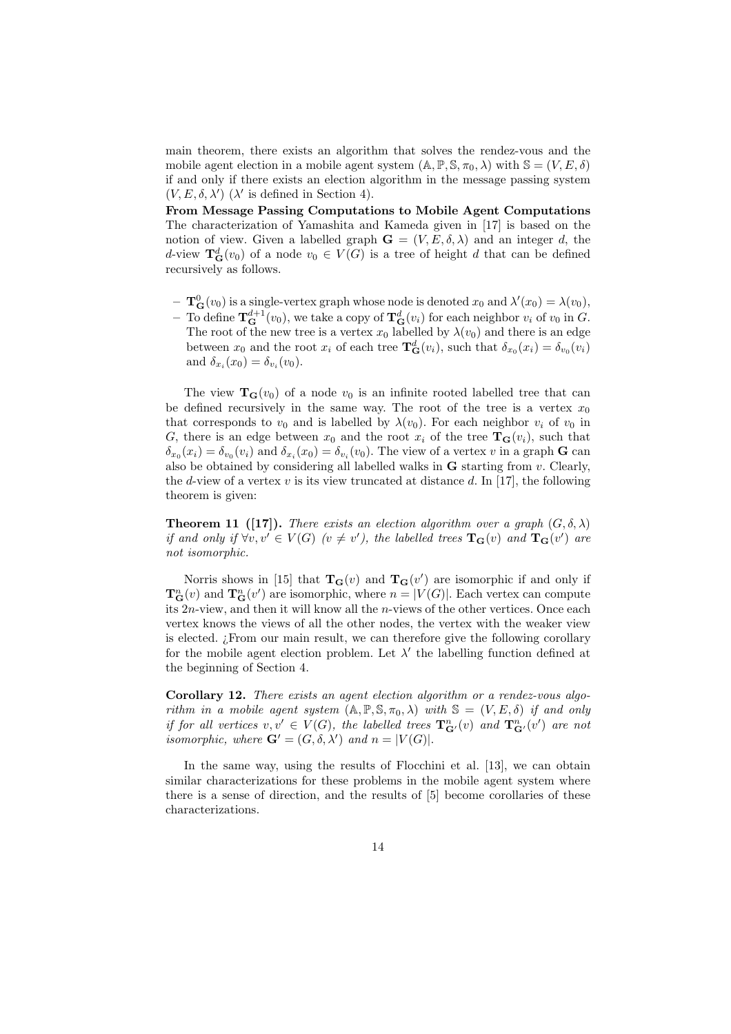main theorem, there exists an algorithm that solves the rendez-vous and the mobile agent election in a mobile agent system  $(A, \mathbb{P}, \mathbb{S}, \pi_0, \lambda)$  with  $\mathbb{S} = (V, E, \delta)$ if and only if there exists an election algorithm in the message passing system  $(V, E, \delta, \lambda')$  ( $\lambda'$  is defined in Section 4).

From Message Passing Computations to Mobile Agent Computations The characterization of Yamashita and Kameda given in [17] is based on the notion of view. Given a labelled graph  $\mathbf{G} = (V, E, \delta, \lambda)$  and an integer d, the d-view  $\mathbf{T_G^d}(v_0)$  of a node  $v_0 \in V(G)$  is a tree of height d that can be defined recursively as follows.

- $-\mathbf{T}_{\mathbf{G}}^{0}(v_{0})$  is a single-vertex graph whose node is denoted  $x_{0}$  and  $\lambda'(x_{0}) = \lambda(v_{0}),$
- To define  $\mathbf{T}^{d+1}_{\mathbf{G}}(v_0)$ , we take a copy of  $\mathbf{T}^{d}_{\mathbf{G}}(v_i)$  for each neighbor  $v_i$  of  $v_0$  in  $G$ . The root of the new tree is a vertex  $x_0$  labelled by  $\lambda(v_0)$  and there is an edge between  $x_0$  and the root  $x_i$  of each tree  $\mathbf{T}^d_{\mathbf{G}}(v_i)$ , such that  $\delta_{x_0}(x_i) = \delta_{v_0}(v_i)$ and  $\delta_{x_i}(x_0) = \delta_{v_i}(v_0)$ .

The view  $\mathbf{T}_{\mathbf{G}}(v_0)$  of a node  $v_0$  is an infinite rooted labelled tree that can be defined recursively in the same way. The root of the tree is a vertex  $x_0$ that corresponds to  $v_0$  and is labelled by  $\lambda(v_0)$ . For each neighbor  $v_i$  of  $v_0$  in G, there is an edge between  $x_0$  and the root  $x_i$  of the tree  $\mathbf{T_G}(v_i)$ , such that  $\delta_{x_0}(x_i) = \delta_{v_0}(v_i)$  and  $\delta_{x_i}(x_0) = \delta_{v_i}(v_0)$ . The view of a vertex v in a graph **G** can also be obtained by considering all labelled walks in  $G$  starting from  $v$ . Clearly, the d-view of a vertex v is its view truncated at distance d. In [17], the following theorem is given:

**Theorem 11** ([17]). There exists an election algorithm over a graph  $(G, \delta, \lambda)$ if and only if  $\forall v, v' \in V(G)$  ( $v \neq v'$ ), the labelled trees  $\mathbf{T_G}(v)$  and  $\mathbf{T_G}(v')$  are not isomorphic.

Norris shows in [15] that  $\mathbf{T}_{\mathbf{G}}(v)$  and  $\mathbf{T}_{\mathbf{G}}(v')$  are isomorphic if and only if  $\mathbf{T}_{\mathbf{G}}^{n}(v)$  and  $\mathbf{T}_{\mathbf{G}}^{n}(v')$  are isomorphic, where  $n = |V(G)|$ . Each vertex can compute its 2n-view, and then it will know all the n-views of the other vertices. Once each vertex knows the views of all the other nodes, the vertex with the weaker view is elected. ¿From our main result, we can therefore give the following corollary for the mobile agent election problem. Let  $\lambda'$  the labelling function defined at the beginning of Section 4.

Corollary 12. There exists an agent election algorithm or a rendez-vous algorithm in a mobile agent system  $(A, P, S, \pi_0, \lambda)$  with  $S = (V, E, \delta)$  if and only if for all vertices  $v, v' \in V(G)$ , the labelled trees  $\mathbf{T}_{\mathbf{G}'}^n(v)$  and  $\mathbf{T}_{\mathbf{G}'}^n(v')$  are not isomorphic, where  $\mathbf{G}' = (G, \delta, \lambda')$  and  $n = |V(G)|$ .

In the same way, using the results of Flocchini et al. [13], we can obtain similar characterizations for these problems in the mobile agent system where there is a sense of direction, and the results of [5] become corollaries of these characterizations.